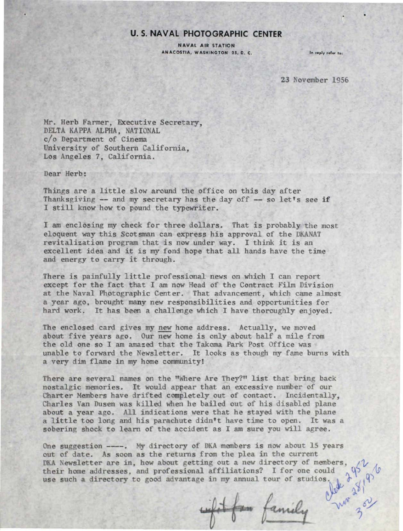## **U. S. NAVAL PHOTOGRAPHIC CENTER**

NAVAL AIR STATION ANACOSTIA, WASHINGTON 25, D. C.

In reply refer to:

23 November 1956

Mr. Herb Farmer, Executive Secretary, DELTA KAPPA ALPHA, NATIONAL c/o Department of Cinema University of Southern California, Los Angeles 7, California.

Dear Herb:

Things are a little slow around the office on this day after Thanksgiving  $-$  and my secretary has the day off  $-$  so let's see if I still know how to pound the typewriter.

I am enclosing my check for three dollars. That is probably the most eloquent way this Scotsman can express his approval of the DKANAT revitalization program that is now under way. I think it is an excellent idea and it is my fond hope that all hands have the time and energy to carry it through.

There is painfully little professional news on which I can report except for the fact that I am now Head of the Contract Film Division at the Naval Photographic Center. That advancement, which came almost a year ago, brought many new responsibilities and opportunities for hard work. It has been a challenge which I have thoroughly enjoyed.

The enclosed card gives my new home address. Actually, we moved about five years ago. Our new home is only about half a mile from the old one so I am amazed that the Takoma Park Post Office was unable to forward the Newsletter. It looks as though my fame burns with a very dim flame in my home community!

There are several names on the "Where Are They?" list that bring back nostalgic memories. It would appear that an excessive number of our Charter Members have drifted completely out of contact. Incidentally, Charles Van Dusen was killed when he bailed out of his disabled plane about a year ago. All indications were that he stayed with the plane a little too long and his parachute didn't have time to open. It was a sobering shock to learn of the accident as I am sure you will agree.

One suggestion  $---$ . My directory of DKA members is now about 15 years out of date. As soon as the returns from the plea in the current DKA Newsletter are in, how about getting out a new directory of members, their home addresses, and professional affiliations? I for one could use such a directory to good advantage in my annual tour of studios

*t:.'Y* 

 $3<sup>7</sup>$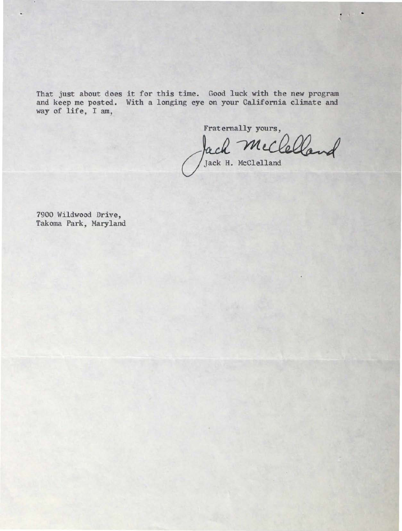That just about does it for this time. Good luck with the new program and keep me posted. With a longing eye on your California climate and way of life, I am,

Fraternally yours,

Jack H. McClelland

•

7900 Wildwood Drive, Takoma Park, Maryland